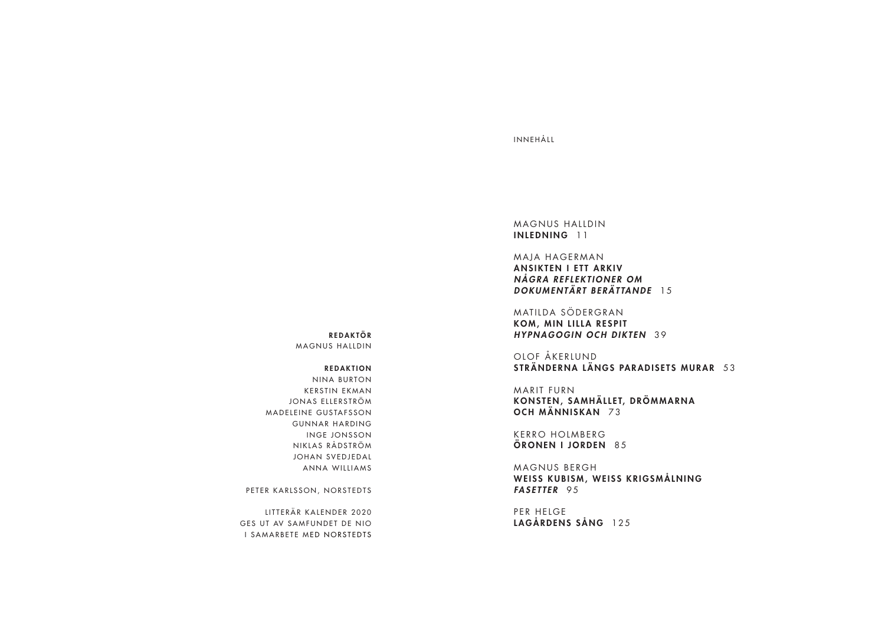## INNEHÅLL

MAGNUS HALLDIN INLEDNING 11

MAJA HAGERMAN ANSIKTEN I ETT ARKIV *N Å G R A R E F L E K T I O N E R O M DOKUMENTÄRT BERÄTTANDE* 15

MATILDA SÖDERGRAN KOM, MIN LILLA RESPIT *HYPNAGOGIN OCH DIKTEN* 39

OLOF ÅKERLUND STRÄNDERNA LÄNGS PARADISETS MURAR 53

MARIT FURN KONSTEN, SAMHÄLLET, DRÖMMARNA OCH MÄNNISKAN 73

KERRO HOLMBERG ÖRONEN I JORDEN 85

MAGNUS BERGH WEISS KUBISM, WEISS KRIGSMÅLNING *FASETTER* 95

PER HELGE LAGÅRDENS SÅNG 125

REDAKTÖR MAGNUS HALLDIN

REDAKTION

NINA BURTON KERSTIN EKMAN JONAS ELLERSTRÖM MADELEINE GUSTAFSSON GUNNAR HARDING INGE JONSSON NIKLAS RÅDSTRÖM JOHAN SVEDJEDAL ANNA WILLIAMS

PETER KARLSSON, NORSTEDTS

LITTERÄR KALENDER 2020 GES UT AV SAMFUNDET DE NIO I SAMARBETE MED NORSTEDTS